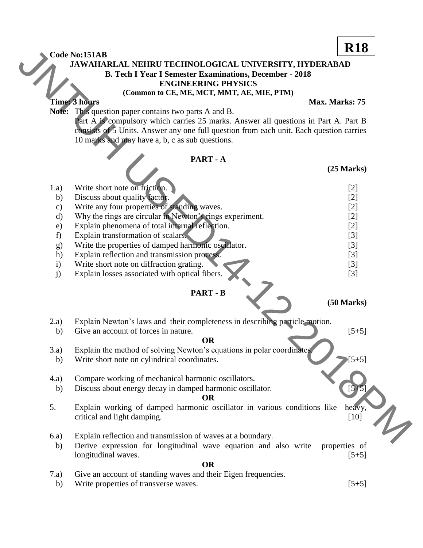## **JAWAHARLAL NEHRU TECHNOLOGICAL UNIVERSITY, HYDERABAD B. Tech I Year I Semester Examinations, December - 2018 ENGINEERING PHYSICS**

## **(Common to CE, ME, MCT, MMT, AE, MIE, PTM)**

## **PART - A**

|               |                                                                                         | <b>R18</b>      |
|---------------|-----------------------------------------------------------------------------------------|-----------------|
|               | Code No:151AB<br>JAWAHARLAL NEHRU TECHNOLOGICAL UNIVERSITY, HYDERABAD                   |                 |
|               | <b>B. Tech I Year I Semester Examinations, December - 2018</b>                          |                 |
|               | <b>ENGINEERING PHYSICS</b>                                                              |                 |
|               | (Common to CE, ME, MCT, MMT, AE, MIE, PTM)                                              |                 |
|               | Time: 3 hours                                                                           | Max. Marks: 75  |
|               | Note: This question paper contains two parts A and B.                                   |                 |
|               | Part A is compulsory which carries 25 marks. Answer all questions in Part A. Part B     |                 |
|               | consists of 5 Units. Answer any one full question from each unit. Each question carries |                 |
|               | 10 marks and may have a, b, c as sub questions.                                         |                 |
|               |                                                                                         |                 |
|               | PART-A                                                                                  |                 |
|               |                                                                                         | $(25$ Marks $)$ |
|               |                                                                                         |                 |
| 1.a)          | Write short note on friction.                                                           | $[2]$           |
| b)            | Discuss about quality factor.                                                           | $[2]$           |
| $\mathbf{c})$ | Write any four properties of standing waves.                                            | $[2]$           |
| $\mathbf{d}$  | Why the rings are circular in Newton's rings experiment.                                | $[2]$           |
| e)            | Explain phenomena of total internal reflection.                                         | $[2]$           |
| f)            | Explain transformation of scalars.                                                      | $[3]$           |
| g)            | Write the properties of damped harmonic oscillator.                                     | $[3]$           |
| h)            | Explain reflection and transmission process.                                            | $[3]$           |
| $\mathbf{i}$  | Write short note on diffraction grating.                                                | $[3]$           |
| j)            | Explain losses associated with optical fibers.                                          | $[3]$           |
|               | <b>PART - B</b>                                                                         |                 |
|               |                                                                                         | $(50$ Marks $)$ |
|               |                                                                                         |                 |
| 2.a)          | Explain Newton's laws and their completeness in describing particle motion.             |                 |
| b)            | Give an account of forces in nature.                                                    | $[5+5]$         |
|               | <b>OR</b>                                                                               |                 |
| 3.a)          | Explain the method of solving Newton's equations in polar coordinates                   | $[5+5]$         |
| b)            | Write short note on cylindrical coordinates.                                            |                 |
| (4.a)         | Compare working of mechanical harmonic oscillators.                                     |                 |
| b)            | Discuss about energy decay in damped harmonic oscillator.                               | $[5 + 5]$       |
|               | <b>OR</b>                                                                               |                 |
| 5.            | Explain working of damped harmonic oscillator in various conditions like                | heavy,          |
|               | critical and light damping.                                                             | $[10]$          |
|               |                                                                                         |                 |
| 6.a)          | Explain reflection and transmission of waves at a boundary.                             |                 |
| b)            | Derive expression for longitudinal wave equation and also write                         | properties of   |
|               | longitudinal waves.                                                                     | $[5+5]$         |
|               | <b>OR</b>                                                                               |                 |
| 7.a)          | Give an account of standing waves and their Eigen frequencies.                          |                 |
| b)            | Write properties of transverse waves.                                                   | $[5+5]$         |